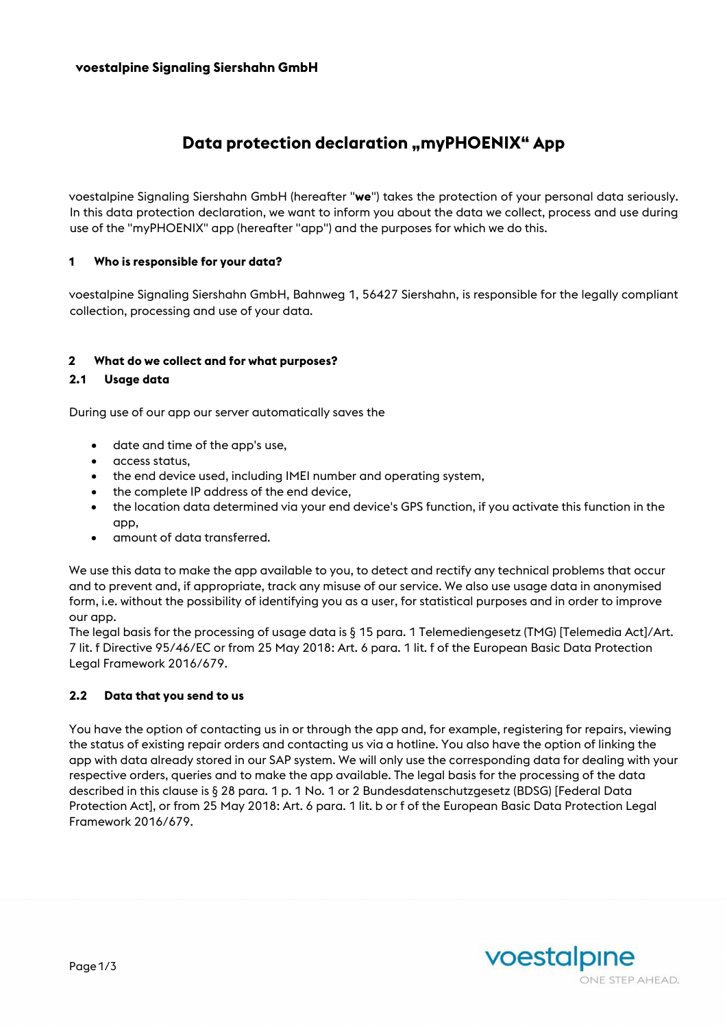# **Data protection declaration "myPHOENIX" App**

voestalpine Signaling Siershahn GmbH (hereafter "**we**") takes the protection of your personal data seriously. In this data protection declaration, we want to inform you about the data we collect, process and use during use of the "myPHOENIX" app (hereafter "app") and the purposes for which we do this.

#### **1 Who is responsible for your data?**

voestalpine Signaling Siershahn GmbH, Bahnweg 1, 56427 Siershahn, is responsible for the legally compliant collection, processing and use of your data.

#### **2 What do we collect and for what purposes?**

#### **2.1 Usage data**

During use of our app our server automatically saves the

- date and time of the app's use,
- access status,
- the end device used, including IMEI number and operating system,
- the complete IP address of the end device,
- the location data determined via your end device's GPS function, if you activate this function in the app,
- amount of data transferred.

We use this data to make the app available to you, to detect and rectify any technical problems that occur and to prevent and, if appropriate, track any misuse of our service. We also use usage data in anonymised form, i.e. without the possibility of identifying you as a user, for statistical purposes and in order to improve our app.

The legal basis for the processing of usage data is § 15 para. 1 Telemediengesetz (TMG) [Telemedia Act]/Art. 7 lit. f Directive 95/46/EC or from 25 May 2018: Art. 6 para. 1 lit. f of the European Basic Data Protection Legal Framework 2016/679.

#### **2.2 Data that you send to us**

You have the option of contacting us in or through the app and, for example, registering for repairs, viewing the status of existing repair orders and contacting us via a hotline. You also have the option of linking the app with data already stored in our SAP system. We will only use the corresponding data for dealing with your respective orders, queries and to make the app available. The legal basis for the processing of the data described in this clause is § 28 para. 1 p. 1 No. 1 or 2 Bundesdatenschutzgesetz (BDSG) [Federal Data Protection Act], or from 25 May 2018: Art. 6 para. 1 lit. b or f of the European Basic Data Protection Legal Framework 2016/679.

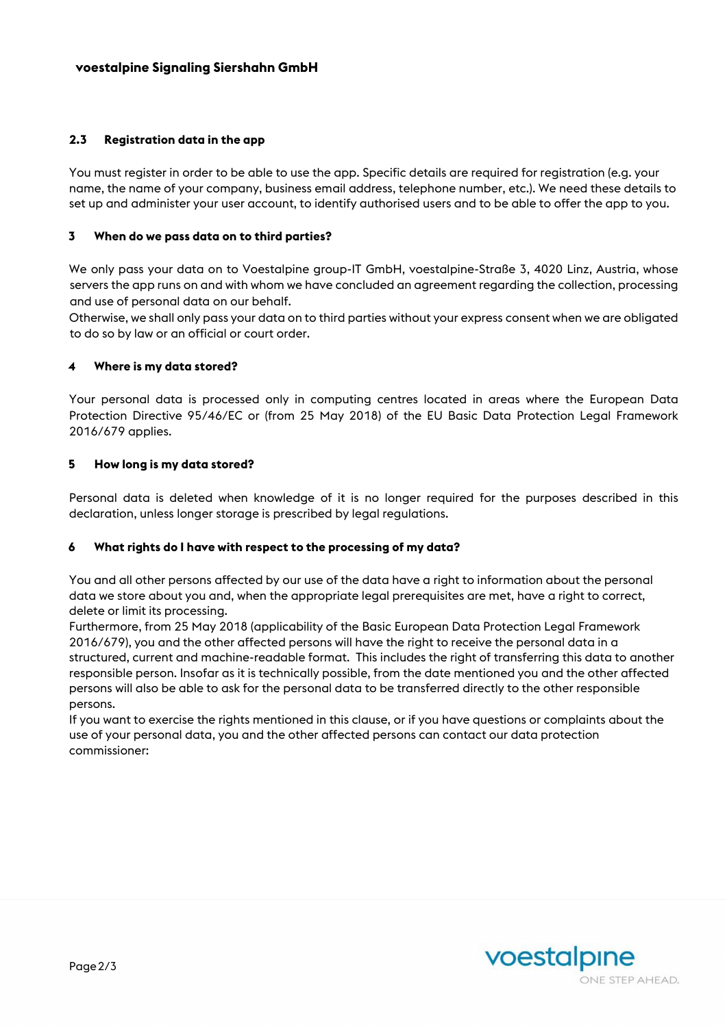## **2.3 Registration data in the app**

You must register in order to be able to use the app. Specific details are required for registration (e.g. your name, the name of your company, business email address, telephone number, etc.). We need these details to set up and administer your user account, to identify authorised users and to be able to offer the app to you.

#### **3 When do we pass data on to third parties?**

We only pass your data on to Voestalpine group-IT GmbH, voestalpine-Straße 3, 4020 Linz, Austria, whose servers the app runs on and with whom we have concluded an agreement regarding the collection, processing and use of personal data on our behalf.

Otherwise, we shall only pass your data on to third parties without your express consent when we are obligated to do so by law or an official or court order.

## **4 Where is my data stored?**

Your personal data is processed only in computing centres located in areas where the European Data Protection Directive 95/46/EC or (from 25 May 2018) of the EU Basic Data Protection Legal Framework 2016/679 applies.

#### **5 How long is my data stored?**

Personal data is deleted when knowledge of it is no longer required for the purposes described in this declaration, unless longer storage is prescribed by legal regulations.

#### **6 What rights do I have with respect to the processing of my data?**

You and all other persons affected by our use of the data have a right to information about the personal data we store about you and, when the appropriate legal prerequisites are met, have a right to correct, delete or limit its processing.

Furthermore, from 25 May 2018 (applicability of the Basic European Data Protection Legal Framework 2016/679), you and the other affected persons will have the right to receive the personal data in a structured, current and machine-readable format. This includes the right of transferring this data to another responsible person. Insofar as it is technically possible, from the date mentioned you and the other affected persons will also be able to ask for the personal data to be transferred directly to the other responsible persons.

If you want to exercise the rights mentioned in this clause, or if you have questions or complaints about the use of your personal data, you and the other affected persons can contact our data protection commissioner: